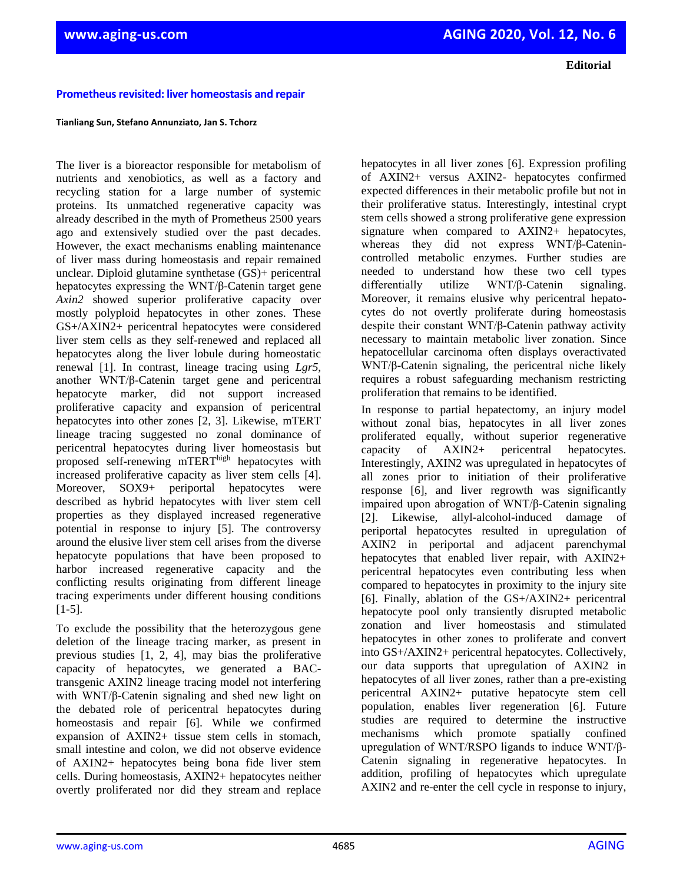**Editorial**

## **Prometheus revisited: liver homeostasis and repair**

## **Tianliang Sun, Stefano Annunziato, Jan S. Tchorz**

The liver is a bioreactor responsible for metabolism of nutrients and xenobiotics, as well as a factory and recycling station for a large number of systemic proteins. Its unmatched regenerative capacity was already described in the myth of Prometheus 2500 years ago and extensively studied over the past decades. However, the exact mechanisms enabling maintenance of liver mass during homeostasis and repair remained unclear. Diploid glutamine synthetase (GS)+ pericentral hepatocytes expressing the WNT/β-Catenin target gene *Axin2* showed superior proliferative capacity over mostly polyploid hepatocytes in other zones. These GS+/AXIN2+ pericentral hepatocytes were considered liver stem cells as they self-renewed and replaced all hepatocytes along the liver lobule during homeostatic renewal [1]. In contrast, lineage tracing using *Lgr5*, another WNT/β-Catenin target gene and pericentral hepatocyte marker, did not support increased proliferative capacity and expansion of pericentral hepatocytes into other zones [2, 3]. Likewise, mTERT lineage tracing suggested no zonal dominance of pericentral hepatocytes during liver homeostasis but proposed self-renewing mTERThigh hepatocytes with increased proliferative capacity as liver stem cells [4]. Moreover, SOX9+ periportal hepatocytes were described as hybrid hepatocytes with liver stem cell properties as they displayed increased regenerative potential in response to injury [5]. The controversy around the elusive liver stem cell arises from the diverse hepatocyte populations that have been proposed to harbor increased regenerative capacity and the conflicting results originating from different lineage tracing experiments under different housing conditions  $[1-5]$ .

To exclude the possibility that the heterozygous gene deletion of the lineage tracing marker, as present in previous studies [1, 2, 4], may bias the proliferative capacity of hepatocytes, we generated a BACtransgenic AXIN2 lineage tracing model not interfering with WNT/β-Catenin signaling and shed new light on the debated role of pericentral hepatocytes during homeostasis and repair [6]. While we confirmed expansion of AXIN2+ tissue stem cells in stomach, small intestine and colon, we did not observe evidence of AXIN2+ hepatocytes being bona fide liver stem cells. During homeostasis, AXIN2+ hepatocytes neither overtly proliferated nor did they stream and replace

hepatocytes in all liver zones [6]. Expression profiling of AXIN2+ versus AXIN2- hepatocytes confirmed expected differences in their metabolic profile but not in their proliferative status. Interestingly, intestinal crypt stem cells showed a strong proliferative gene expression signature when compared to AXIN2+ hepatocytes, whereas they did not express WNT/β-Catenincontrolled metabolic enzymes. Further studies are needed to understand how these two cell types differentially utilize WNT/β-Catenin signaling. Moreover, it remains elusive why pericentral hepatocytes do not overtly proliferate during homeostasis despite their constant WNT/β-Catenin pathway activity necessary to maintain metabolic liver zonation. Since hepatocellular carcinoma often displays overactivated WNT/β-Catenin signaling, the pericentral niche likely requires a robust safeguarding mechanism restricting proliferation that remains to be identified.

In response to partial hepatectomy, an injury model without zonal bias, hepatocytes in all liver zones proliferated equally, without superior regenerative capacity of AXIN2+ pericentral hepatocytes. Interestingly, AXIN2 was upregulated in hepatocytes of all zones prior to initiation of their proliferative response [6], and liver regrowth was significantly impaired upon abrogation of WNT/β-Catenin signaling [2]. Likewise, allyl-alcohol-induced damage of periportal hepatocytes resulted in upregulation of AXIN2 in periportal and adjacent parenchymal hepatocytes that enabled liver repair, with AXIN2+ pericentral hepatocytes even contributing less when compared to hepatocytes in proximity to the injury site [6]. Finally, ablation of the GS+/AXIN2+ pericentral hepatocyte pool only transiently disrupted metabolic zonation and liver homeostasis and stimulated hepatocytes in other zones to proliferate and convert into GS+/AXIN2+ pericentral hepatocytes. Collectively, our data supports that upregulation of AXIN2 in hepatocytes of all liver zones, rather than a pre-existing pericentral AXIN2+ putative hepatocyte stem cell population, enables liver regeneration [6]. Future studies are required to determine the instructive mechanisms which promote spatially confined upregulation of WNT/RSPO ligands to induce WNT/β-Catenin signaling in regenerative hepatocytes. In addition, profiling of hepatocytes which upregulate AXIN2 and re-enter the cell cycle in response to injury,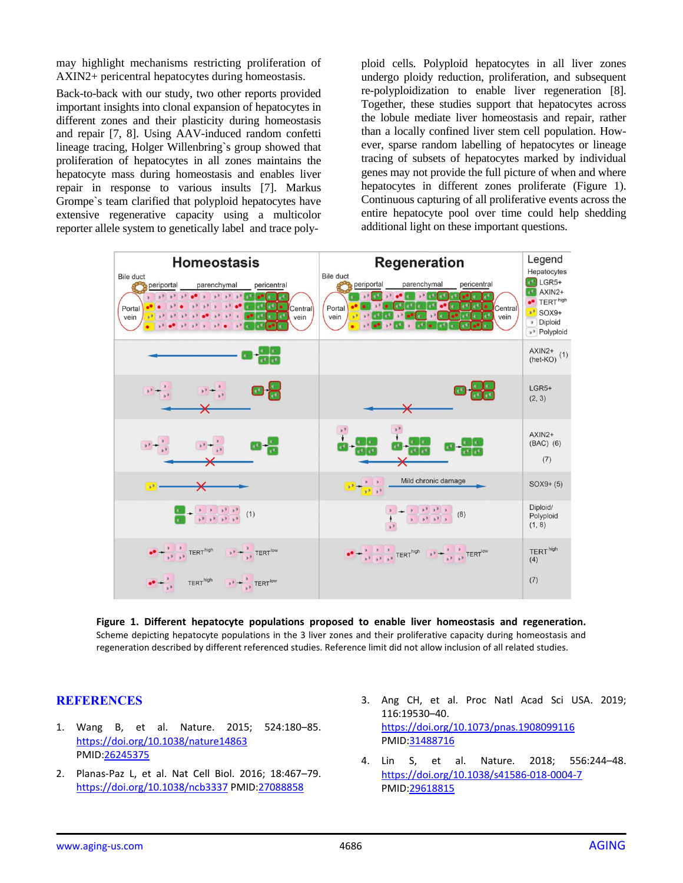may highlight mechanisms restricting proliferation of AXIN2+ pericentral hepatocytes during homeostasis.

Back-to-back with our study, two other reports provided important insights into clonal expansion of hepatocytes in different zones and their plasticity during homeostasis and repair [7, 8]. Using AAV-induced random confetti lineage tracing, Holger Willenbring`s group showed that proliferation of hepatocytes in all zones maintains the hepatocyte mass during homeostasis and enables liver repair in response to various insults [7]. Markus Grompe`s team clarified that polyploid hepatocytes have extensive regenerative capacity using a multicolor reporter allele system to genetically label and trace polyploid cells. Polyploid hepatocytes in all liver zones undergo ploidy reduction, proliferation, and subsequent re-polyploidization to enable liver regeneration [8]. Together, these studies support that hepatocytes across the lobule mediate liver homeostasis and repair, rather than a locally confined liver stem cell population. However, sparse random labelling of hepatocytes or lineage tracing of subsets of hepatocytes marked by individual genes may not provide the full picture of when and where hepatocytes in different zones proliferate (Figure 1). Continuous capturing of all proliferative events across the entire hepatocyte pool over time could help shedding additional light on these important questions.



**Figure 1. Different hepatocyte populations proposed to enable liver homeostasis and regeneration.**  Scheme depicting hepatocyte populations in the 3 liver zones and their proliferative capacity during homeostasis and regeneration described by different referenced studies. Reference limit did not allow inclusion of all related studies.

## **REFERENCES**

- 1. Wang B, et al. Nature. 2015; 524:180–85. <https://doi.org/10.1038/nature14863> PMID[:26245375](https://www.ncbi.nlm.nih.gov/entrez/query.fcgi?cmd=Retrieve&db=PubMed&list_uids=26245375&dopt=Abstract)
- 2. Planas-Paz L, et al. Nat Cell Biol. 2016; 18:467–79. <https://doi.org/10.1038/ncb3337> PMI[D:27088858](https://www.ncbi.nlm.nih.gov/entrez/query.fcgi?cmd=Retrieve&db=PubMed&list_uids=27088858&dopt=Abstract)
- 3. Ang CH, et al. Proc Natl Acad Sci USA. 2019; 116:19530–40. <https://doi.org/10.1073/pnas.1908099116> PMID[:31488716](https://www.ncbi.nlm.nih.gov/entrez/query.fcgi?cmd=Retrieve&db=PubMed&list_uids=31488716&dopt=Abstract)
- 4. Lin S, et al. Nature. 2018; 556:244–48. <https://doi.org/10.1038/s41586-018-0004-7> PMID[:29618815](https://www.ncbi.nlm.nih.gov/entrez/query.fcgi?cmd=Retrieve&db=PubMed&list_uids=29618815&dopt=Abstract)